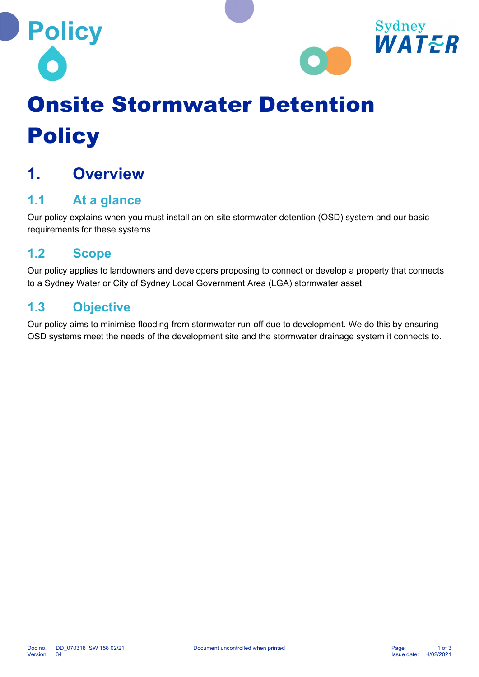



# Onsite Stormwater Detention **Policy**

# 1. Overview

## 1.1 At a glance

Our policy explains when you must install an on-site stormwater detention (OSD) system and our basic requirements for these systems.

### 1.2 Scope

Our policy applies to landowners and developers proposing to connect or develop a property that connects to a Sydney Water or City of Sydney Local Government Area (LGA) stormwater asset.

### 1.3 Objective

Our policy aims to minimise flooding from stormwater run-off due to development. We do this by ensuring OSD systems meet the needs of the development site and the stormwater drainage system it connects to.

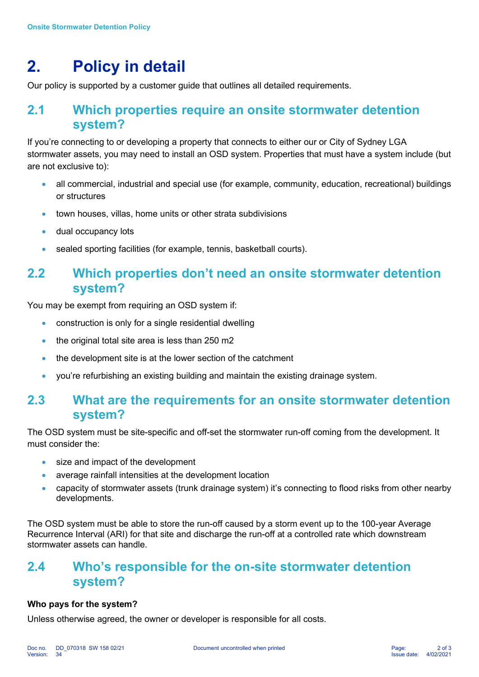## 2. Policy in detail

Our policy is supported by a customer guide that outlines all detailed requirements.

#### 2.1 Which properties require an onsite stormwater detention system?

If you're connecting to or developing a property that connects to either our or City of Sydney LGA stormwater assets, you may need to install an OSD system. Properties that must have a system include (but are not exclusive to):

- all commercial, industrial and special use (for example, community, education, recreational) buildings or structures
- town houses, villas, home units or other strata subdivisions
- **dual occupancy lots**
- sealed sporting facilities (for example, tennis, basketball courts).

#### 2.2 Which properties don't need an onsite stormwater detention system?

You may be exempt from requiring an OSD system if:

- construction is only for a single residential dwelling
- the original total site area is less than 250 m2
- the development site is at the lower section of the catchment
- you're refurbishing an existing building and maintain the existing drainage system.

#### 2.3 What are the requirements for an onsite stormwater detention system?

The OSD system must be site-specific and off-set the stormwater run-off coming from the development. It must consider the:

- size and impact of the development
- average rainfall intensities at the development location
- capacity of stormwater assets (trunk drainage system) it's connecting to flood risks from other nearby developments.

The OSD system must be able to store the run-off caused by a storm event up to the 100-year Average Recurrence Interval (ARI) for that site and discharge the run-off at a controlled rate which downstream stormwater assets can handle.

#### 2.4 Who's responsible for the on-site stormwater detention system?

#### Who pays for the system?

Unless otherwise agreed, the owner or developer is responsible for all costs.